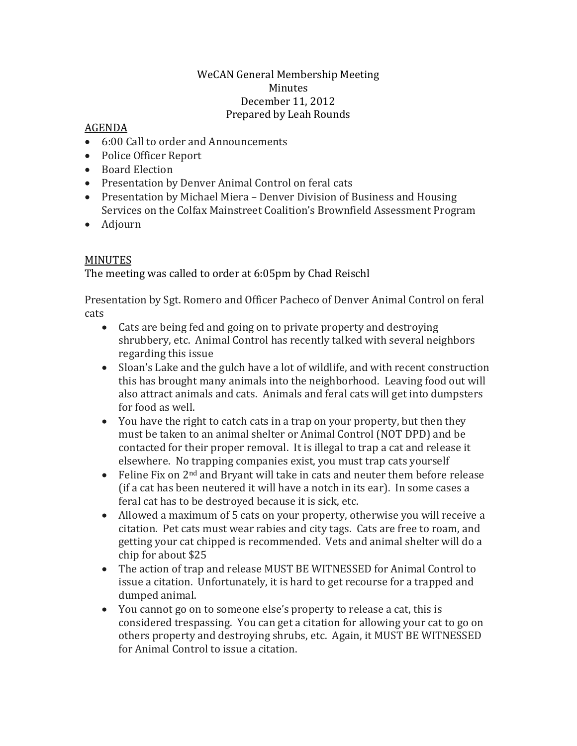## WeCAN General Membership Meeting Minutes December 11, 2012 Prepared by Leah Rounds

## AGENDA

- 6:00 Call to order and Announcements
- Police Officer Report
- Board Election
- Presentation by Denver Animal Control on feral cats
- Presentation by Michael Miera Denver Division of Business and Housing Services on the Colfax Mainstreet Coalition's Brownfield Assessment Program
- Adjourn

## MINUTES

The meeting was called to order at 6:05pm by Chad Reischl

Presentation by Sgt. Romero and Officer Pacheco of Denver Animal Control on feral cats

- Cats are being fed and going on to private property and destroying shrubbery, etc. Animal Control has recently talked with several neighbors regarding this issue
- Sloan's Lake and the gulch have a lot of wildlife, and with recent construction this has brought many animals into the neighborhood. Leaving food out will also attract animals and cats. Animals and feral cats will get into dumpsters for food as well.
- You have the right to catch cats in a trap on your property, but then they must be taken to an animal shelter or Animal Control (NOT DPD) and be contacted for their proper removal. It is illegal to trap a cat and release it elsewhere. No trapping companies exist, you must trap cats yourself
- Feline Fix on 2<sup>nd</sup> and Bryant will take in cats and neuter them before release (if a cat has been neutered it will have a notch in its ear). In some cases a feral cat has to be destroyed because it is sick, etc.
- Allowed a maximum of 5 cats on your property, otherwise you will receive a citation. Pet cats must wear rabies and city tags. Cats are free to roam, and getting your cat chipped is recommended. Vets and animal shelter will do a chip for about \$25
- The action of trap and release MUST BE WITNESSED for Animal Control to issue a citation. Unfortunately, it is hard to get recourse for a trapped and dumped animal.
- You cannot go on to someone else's property to release a cat, this is considered trespassing. You can get a citation for allowing your cat to go on others property and destroying shrubs, etc. Again, it MUST BE WITNESSED for Animal Control to issue a citation.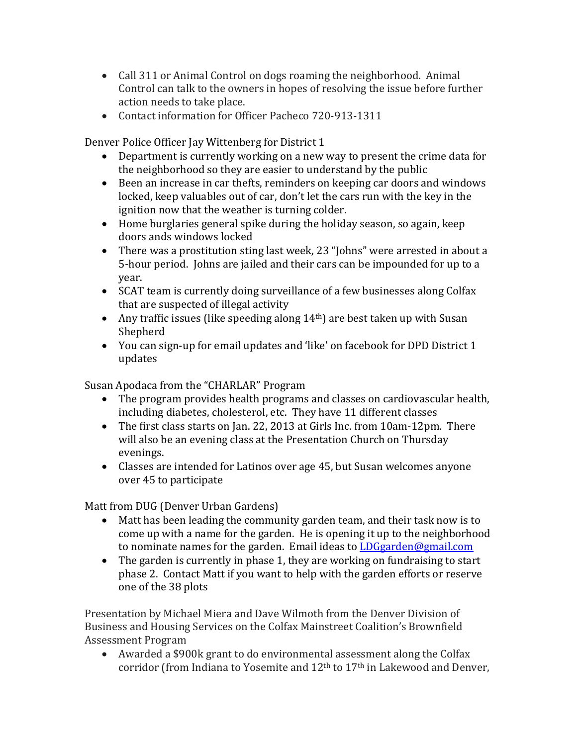- Call 311 or Animal Control on dogs roaming the neighborhood. Animal Control can talk to the owners in hopes of resolving the issue before further action needs to take place.
- Contact information for Officer Pacheco 720-913-1311

Denver Police Officer Jay Wittenberg for District 1

- Department is currently working on a new way to present the crime data for the neighborhood so they are easier to understand by the public
- Been an increase in car thefts, reminders on keeping car doors and windows locked, keep valuables out of car, don't let the cars run with the key in the ignition now that the weather is turning colder.
- Home burglaries general spike during the holiday season, so again, keep doors ands windows locked
- There was a prostitution sting last week, 23 "Johns" were arrested in about a 5-hour period. Johns are jailed and their cars can be impounded for up to a year.
- SCAT team is currently doing surveillance of a few businesses along Colfax that are suspected of illegal activity
- Any traffic issues (like speeding along  $14<sup>th</sup>$ ) are best taken up with Susan Shepherd
- You can sign-up for email updates and 'like' on facebook for DPD District 1 updates

Susan Apodaca from the "CHARLAR" Program

- The program provides health programs and classes on cardiovascular health, including diabetes, cholesterol, etc. They have 11 different classes
- The first class starts on Jan. 22, 2013 at Girls Inc. from 10am-12pm. There will also be an evening class at the Presentation Church on Thursday evenings.
- Classes are intended for Latinos over age 45, but Susan welcomes anyone over 45 to participate

Matt from DUG (Denver Urban Gardens)

- Matt has been leading the community garden team, and their task now is to come up with a name for the garden. He is opening it up to the neighborhood to nominate names for the garden. Email ideas to [LDGgarden@gmail.com](mailto:LDGgarden@gmail.com)
- The garden is currently in phase 1, they are working on fundraising to start phase 2. Contact Matt if you want to help with the garden efforts or reserve one of the 38 plots

Presentation by Michael Miera and Dave Wilmoth from the Denver Division of Business and Housing Services on the Colfax Mainstreet Coalition's Brownfield Assessment Program

• Awarded a \$900k grant to do environmental assessment along the Colfax corridor (from Indiana to Yosemite and  $12<sup>th</sup>$  to  $17<sup>th</sup>$  in Lakewood and Denver,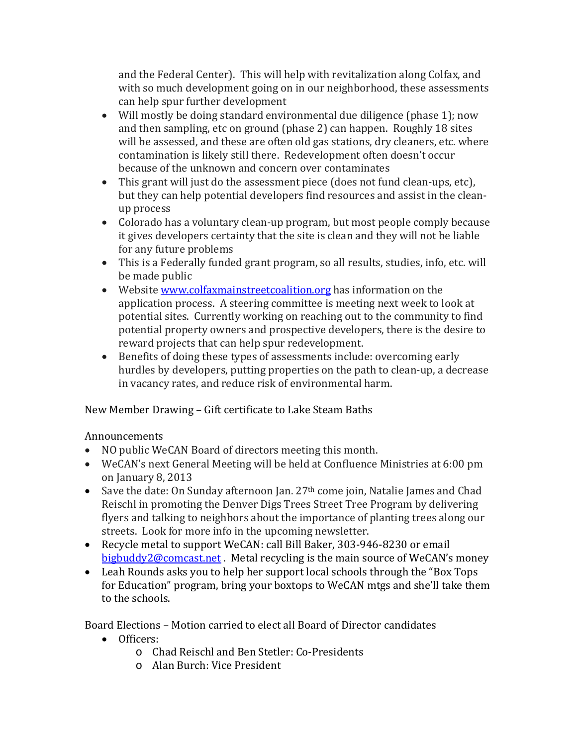and the Federal Center). This will help with revitalization along Colfax, and with so much development going on in our neighborhood, these assessments can help spur further development

- Will mostly be doing standard environmental due diligence (phase 1); now and then sampling, etc on ground (phase 2) can happen. Roughly 18 sites will be assessed, and these are often old gas stations, dry cleaners, etc. where contamination is likely still there. Redevelopment often doesn't occur because of the unknown and concern over contaminates
- This grant will just do the assessment piece (does not fund clean-ups, etc), but they can help potential developers find resources and assist in the cleanup process
- Colorado has a voluntary clean-up program, but most people comply because it gives developers certainty that the site is clean and they will not be liable for any future problems
- This is a Federally funded grant program, so all results, studies, info, etc. will be made public
- Website www.colfaxmainstreet coalition.org has information on the application process. A steering committee is meeting next week to look at potential sites. Currently working on reaching out to the community to find potential property owners and prospective developers, there is the desire to reward projects that can help spur redevelopment.
- Benefits of doing these types of assessments include: overcoming early hurdles by developers, putting properties on the path to clean-up, a decrease in vacancy rates, and reduce risk of environmental harm.

New Member Drawing – Gift certificate to Lake Steam Baths

## Announcements

- NO public WeCAN Board of directors meeting this month.
- WeCAN's next General Meeting will be held at Confluence Ministries at 6:00 pm on January 8, 2013
- Save the date: On Sunday afternoon Jan. 27<sup>th</sup> come join, Natalie James and Chad Reischl in promoting the Denver Digs Trees Street Tree Program by delivering flyers and talking to neighbors about the importance of planting trees along our streets. Look for more info in the upcoming newsletter.
- Recycle metal to support WeCAN: call Bill Baker, 303-946-8230 or email [bigbuddy2@comcast.net](mailto:bigbuddy2@comcast.net) . Metal recycling is the main source of WeCAN's money
- Leah Rounds asks you to help her support local schools through the "Box Tops for Education" program, bring your boxtops to WeCAN mtgs and she'll take them to the schools.

Board Elections – Motion carried to elect all Board of Director candidates

- Officers:
	- o Chad Reischl and Ben Stetler: Co-Presidents
	- o Alan Burch: Vice President